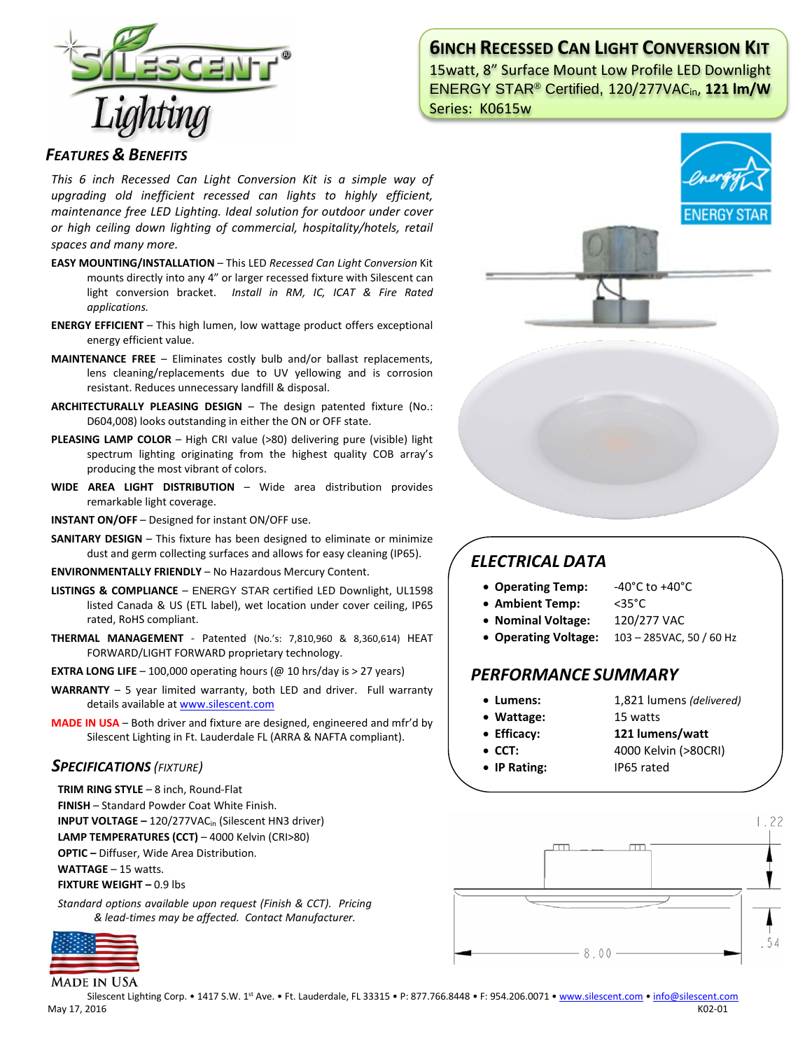

# **6INCH RECESSED CAN LIGHT CONVERSION KIT**

15watt, 8" Surface Mount Low Profile LED Downlight ENERGY STAR® Certified, 120/277VACin, **121 lm/W** Series: K0615w

### *FEATURES & BENEFITS*

*This 6 inch Recessed Can Light Conversion Kit is a simple way of upgrading old inefficient recessed can lights to highly efficient, maintenance free LED Lighting. Ideal solution for outdoor under cover or high ceiling down lighting of commercial, hospitality/hotels, retail spaces and many more.*

- **EASY MOUNTING/INSTALLATION**  This LED *Recessed Can Light Conversion* Kit mounts directly into any 4" or larger recessed fixture with Silescent can light conversion bracket. *Install in RM, IC, ICAT & Fire Rated applications.*
- **ENERGY EFFICIENT**  This high lumen, low wattage product offers exceptional energy efficient value.
- **MAINTENANCE FREE** Eliminates costly bulb and/or ballast replacements, lens cleaning/replacements due to UV yellowing and is corrosion resistant. Reduces unnecessary landfill & disposal.
- **ARCHITECTURALLY PLEASING DESIGN** The design patented fixture (No.: D604,008) looks outstanding in either the ON or OFF state.
- **PLEASING LAMP COLOR**  High CRI value (>80) delivering pure (visible) light spectrum lighting originating from the highest quality COB array's producing the most vibrant of colors.
- **WIDE AREA LIGHT DISTRIBUTION**  Wide area distribution provides remarkable light coverage.
- **INSTANT ON/OFF**  Designed for instant ON/OFF use.
- **SANITARY DESIGN** This fixture has been designed to eliminate or minimize dust and germ collecting surfaces and allows for easy cleaning (IP65).
- **ENVIRONMENTALLY FRIENDLY**  No Hazardous Mercury Content.
- **LISTINGS & COMPLIANCE** ENERGY STAR certified LED Downlight, UL1598 listed Canada & US (ETL label), wet location under cover ceiling, IP65 rated, RoHS compliant.
- **THERMAL MANAGEMENT**  Patented (No.'s: 7,810,960 & 8,360,614) HEAT FORWARD/LIGHT FORWARD proprietary technology.
- **EXTRA LONG LIFE**  $-$  100,000 operating hours ( $@$  10 hrs/day is  $>$  27 years)
- **WARRANTY** 5 year limited warranty, both LED and driver. Full warranty details available a[t www.silescent.com](http://www.silescent.com/)
- **MADE IN USA** Both driver and fixture are designed, engineered and mfr'd by Silescent Lighting in Ft. Lauderdale FL (ARRA & NAFTA compliant).

### *SPECIFICATIONS (FIXTURE)*

- **TRIM RING STYLE** 8 inch, Round-Flat
- **FINISH** Standard Powder Coat White Finish.
- **INPUT VOLTAGE –** 120/277VACin (Silescent HN3 driver)

**LAMP TEMPERATURES (CCT)** – 4000 Kelvin (CRI>80)

**OPTIC –** Diffuser, Wide Area Distribution.

**WATTAGE** – 15 watts.

**FIXTURE WEIGHT –** 0.9 lbs

*Standard options available upon request (Finish & CCT). Pricing & lead-times may be affected. Contact Manufacturer.*



**MADE IN USA** 



# *ELECTRICAL DATA*

- **Operating Temp:** -40°C to +40°C
- **Ambient Temp:** <35°C
- **Nominal Voltage:** 120/277 VAC
- **Operating Voltage:** 103 285VAC, 50 / 60 Hz

## *PERFORMANCE SUMMARY*

- **Lumens:** 1,821 lumens *(delivered)*
- **Wattage:** 15 watts
- 
- **Efficacy: 121 lumens/watt**
- **CCT:** 4000 Kelvin (>80CRI)
- **IP Rating:** IP65 rated



Silescent Lighting Corp. • 1417 S.W. 1st Ave. • Ft. Lauderdale, FL 33315 • P: 877.766.8448 • F: 954.206.0071 • [www.silescent.com](http://www.silescent.com/) • [info@silescent.com](mailto:info@silescent.com) May 17, 2016 K02-01